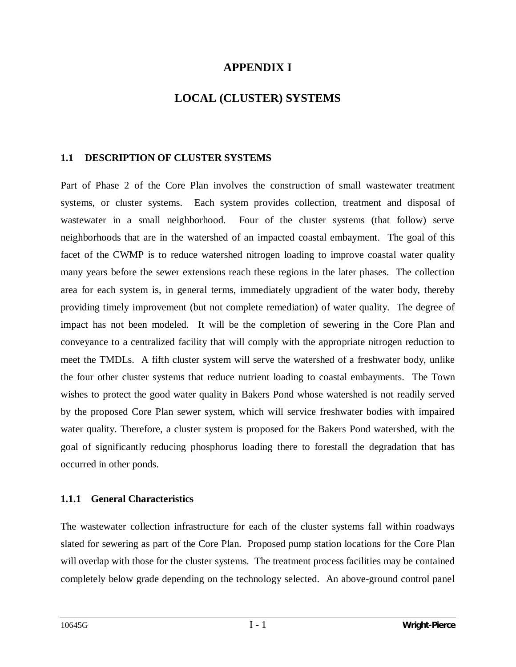## **APPENDIX I**

# **LOCAL (CLUSTER) SYSTEMS**

### **1.1 DESCRIPTION OF CLUSTER SYSTEMS**

Part of Phase 2 of the Core Plan involves the construction of small wastewater treatment systems, or cluster systems. Each system provides collection, treatment and disposal of wastewater in a small neighborhood. Four of the cluster systems (that follow) serve neighborhoods that are in the watershed of an impacted coastal embayment. The goal of this facet of the CWMP is to reduce watershed nitrogen loading to improve coastal water quality many years before the sewer extensions reach these regions in the later phases. The collection area for each system is, in general terms, immediately upgradient of the water body, thereby providing timely improvement (but not complete remediation) of water quality. The degree of impact has not been modeled. It will be the completion of sewering in the Core Plan and conveyance to a centralized facility that will comply with the appropriate nitrogen reduction to meet the TMDLs. A fifth cluster system will serve the watershed of a freshwater body, unlike the four other cluster systems that reduce nutrient loading to coastal embayments. The Town wishes to protect the good water quality in Bakers Pond whose watershed is not readily served by the proposed Core Plan sewer system, which will service freshwater bodies with impaired water quality. Therefore, a cluster system is proposed for the Bakers Pond watershed, with the goal of significantly reducing phosphorus loading there to forestall the degradation that has occurred in other ponds.

### **1.1.1 General Characteristics**

The wastewater collection infrastructure for each of the cluster systems fall within roadways slated for sewering as part of the Core Plan. Proposed pump station locations for the Core Plan will overlap with those for the cluster systems. The treatment process facilities may be contained completely below grade depending on the technology selected. An above-ground control panel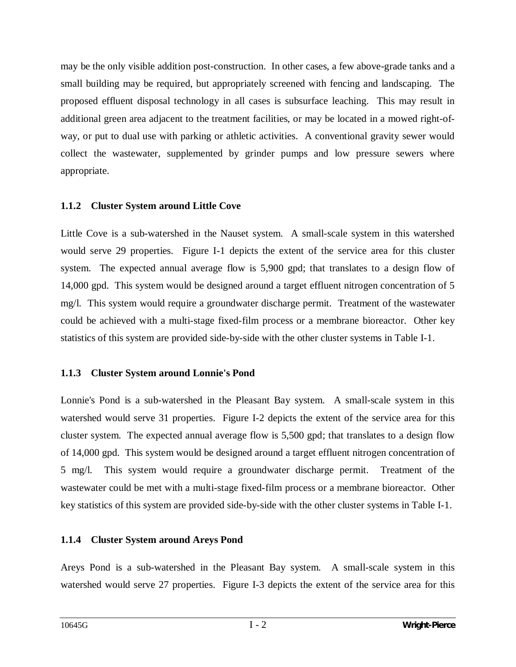may be the only visible addition post-construction. In other cases, a few above-grade tanks and a small building may be required, but appropriately screened with fencing and landscaping. The proposed effluent disposal technology in all cases is subsurface leaching. This may result in additional green area adjacent to the treatment facilities, or may be located in a mowed right-ofway, or put to dual use with parking or athletic activities. A conventional gravity sewer would collect the wastewater, supplemented by grinder pumps and low pressure sewers where appropriate.

### **1.1.2 Cluster System around Little Cove**

Little Cove is a sub-watershed in the Nauset system. A small-scale system in this watershed would serve 29 properties. Figure I-1 depicts the extent of the service area for this cluster system. The expected annual average flow is 5,900 gpd; that translates to a design flow of 14,000 gpd. This system would be designed around a target effluent nitrogen concentration of 5 mg/l. This system would require a groundwater discharge permit. Treatment of the wastewater could be achieved with a multi-stage fixed-film process or a membrane bioreactor. Other key statistics of this system are provided side-by-side with the other cluster systems in Table I-1.

### **1.1.3 Cluster System around Lonnie's Pond**

Lonnie's Pond is a sub-watershed in the Pleasant Bay system. A small-scale system in this watershed would serve 31 properties. Figure I-2 depicts the extent of the service area for this cluster system. The expected annual average flow is 5,500 gpd; that translates to a design flow of 14,000 gpd. This system would be designed around a target effluent nitrogen concentration of 5 mg/l. This system would require a groundwater discharge permit. Treatment of the wastewater could be met with a multi-stage fixed-film process or a membrane bioreactor. Other key statistics of this system are provided side-by-side with the other cluster systems in Table I-1.

## **1.1.4 Cluster System around Areys Pond**

Areys Pond is a sub-watershed in the Pleasant Bay system. A small-scale system in this watershed would serve 27 properties. Figure I-3 depicts the extent of the service area for this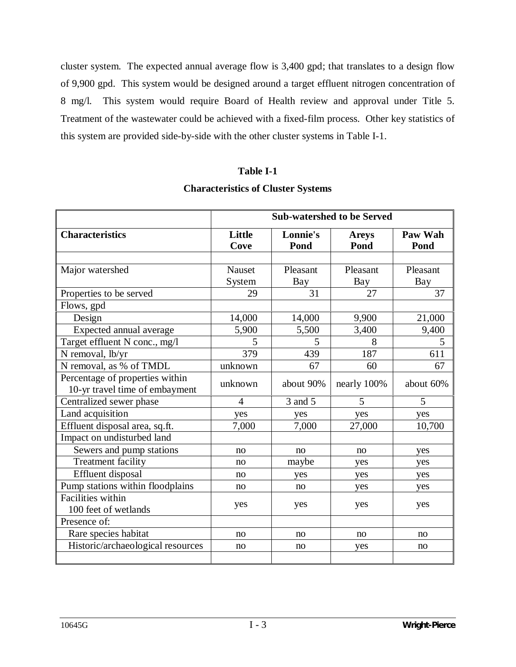cluster system. The expected annual average flow is 3,400 gpd; that translates to a design flow of 9,900 gpd. This system would be designed around a target effluent nitrogen concentration of 8 mg/l. This system would require Board of Health review and approval under Title 5. Treatment of the wastewater could be achieved with a fixed-film process. Other key statistics of this system are provided side-by-side with the other cluster systems in Table I-1.

#### **Table I-1**

#### **Characteristics of Cluster Systems**

|                                                                   | <b>Sub-watershed to be Served</b> |                  |                      |                 |
|-------------------------------------------------------------------|-----------------------------------|------------------|----------------------|-----------------|
| <b>Characteristics</b>                                            | Little<br>Cove                    | Lonnie's<br>Pond | <b>Areys</b><br>Pond | Paw Wah<br>Pond |
|                                                                   |                                   |                  |                      |                 |
| Major watershed                                                   | Nauset                            | Pleasant         | Pleasant             | Pleasant        |
|                                                                   | System                            | Bay              | Bay                  | Bay             |
| Properties to be served                                           | 29                                | 31               | $\overline{27}$      | $\overline{37}$ |
| Flows, gpd                                                        |                                   |                  |                      |                 |
| Design                                                            | 14,000                            | 14,000           | 9,900                | 21,000          |
| Expected annual average                                           | 5,900                             | 5,500            | 3,400                | 9,400           |
| Target effluent N conc., mg/l                                     | 5                                 | 5                | 8                    | 5               |
| N removal, lb/yr                                                  | 379                               | 439              | 187                  | 611             |
| N removal, as % of TMDL                                           | unknown                           | 67               | 60                   | 67              |
| Percentage of properties within<br>10-yr travel time of embayment | unknown                           | about 90%        | nearly 100%          | about 60%       |
| Centralized sewer phase                                           | $\overline{4}$                    | 3 and 5          | 5                    | 5               |
| Land acquisition                                                  | yes                               | yes              | yes                  | yes             |
| Effluent disposal area, sq.ft.                                    | 7,000                             | 7,000            | 27,000               | 10,700          |
| Impact on undisturbed land                                        |                                   |                  |                      |                 |
| Sewers and pump stations                                          | no                                | no               | no                   | yes             |
| Treatment facility                                                | no                                | maybe            | yes                  | yes             |
| Effluent disposal                                                 | no                                | yes              | yes                  | yes             |
| Pump stations within floodplains                                  | no                                | no               | yes                  | yes             |
| Facilities within                                                 | yes                               | yes              | yes                  | yes             |
| 100 feet of wetlands                                              |                                   |                  |                      |                 |
| Presence of:                                                      |                                   |                  |                      |                 |
| Rare species habitat                                              | no                                | no               | no                   | no              |
| Historic/archaeological resources                                 | no                                | no               | yes                  | no              |
|                                                                   |                                   |                  |                      |                 |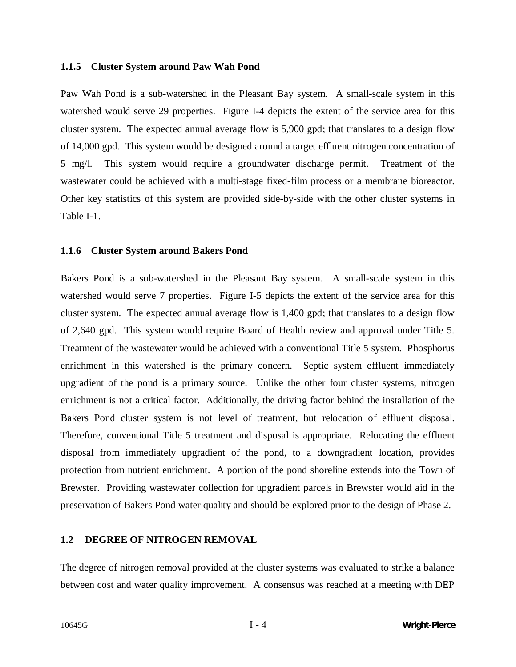#### **1.1.5 Cluster System around Paw Wah Pond**

Paw Wah Pond is a sub-watershed in the Pleasant Bay system. A small-scale system in this watershed would serve 29 properties. Figure I-4 depicts the extent of the service area for this cluster system. The expected annual average flow is 5,900 gpd; that translates to a design flow of 14,000 gpd. This system would be designed around a target effluent nitrogen concentration of 5 mg/l. This system would require a groundwater discharge permit. Treatment of the wastewater could be achieved with a multi-stage fixed-film process or a membrane bioreactor. Other key statistics of this system are provided side-by-side with the other cluster systems in Table I-1.

#### **1.1.6 Cluster System around Bakers Pond**

Bakers Pond is a sub-watershed in the Pleasant Bay system. A small-scale system in this watershed would serve 7 properties. Figure I-5 depicts the extent of the service area for this cluster system. The expected annual average flow is 1,400 gpd; that translates to a design flow of 2,640 gpd. This system would require Board of Health review and approval under Title 5. Treatment of the wastewater would be achieved with a conventional Title 5 system. Phosphorus enrichment in this watershed is the primary concern. Septic system effluent immediately upgradient of the pond is a primary source. Unlike the other four cluster systems, nitrogen enrichment is not a critical factor. Additionally, the driving factor behind the installation of the Bakers Pond cluster system is not level of treatment, but relocation of effluent disposal. Therefore, conventional Title 5 treatment and disposal is appropriate. Relocating the effluent disposal from immediately upgradient of the pond, to a downgradient location, provides protection from nutrient enrichment. A portion of the pond shoreline extends into the Town of Brewster. Providing wastewater collection for upgradient parcels in Brewster would aid in the preservation of Bakers Pond water quality and should be explored prior to the design of Phase 2.

### **1.2 DEGREE OF NITROGEN REMOVAL**

The degree of nitrogen removal provided at the cluster systems was evaluated to strike a balance between cost and water quality improvement. A consensus was reached at a meeting with DEP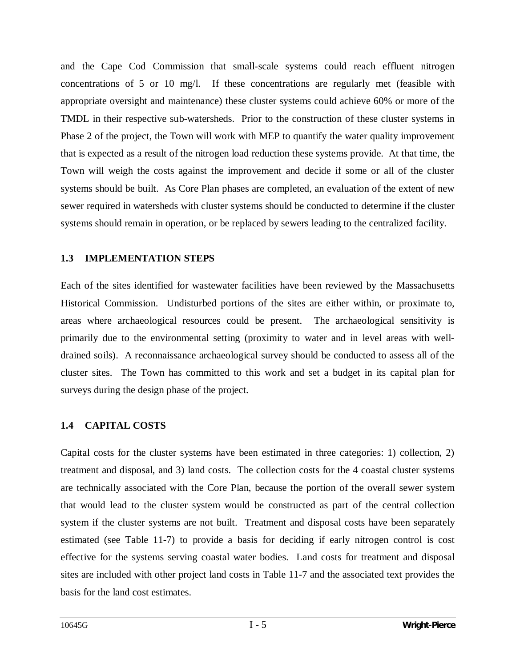and the Cape Cod Commission that small-scale systems could reach effluent nitrogen concentrations of 5 or 10 mg/l. If these concentrations are regularly met (feasible with appropriate oversight and maintenance) these cluster systems could achieve 60% or more of the TMDL in their respective sub-watersheds. Prior to the construction of these cluster systems in Phase 2 of the project, the Town will work with MEP to quantify the water quality improvement that is expected as a result of the nitrogen load reduction these systems provide. At that time, the Town will weigh the costs against the improvement and decide if some or all of the cluster systems should be built. As Core Plan phases are completed, an evaluation of the extent of new sewer required in watersheds with cluster systems should be conducted to determine if the cluster systems should remain in operation, or be replaced by sewers leading to the centralized facility.

#### **1.3 IMPLEMENTATION STEPS**

Each of the sites identified for wastewater facilities have been reviewed by the Massachusetts Historical Commission. Undisturbed portions of the sites are either within, or proximate to, areas where archaeological resources could be present. The archaeological sensitivity is primarily due to the environmental setting (proximity to water and in level areas with welldrained soils). A reconnaissance archaeological survey should be conducted to assess all of the cluster sites. The Town has committed to this work and set a budget in its capital plan for surveys during the design phase of the project.

### **1.4 CAPITAL COSTS**

Capital costs for the cluster systems have been estimated in three categories: 1) collection, 2) treatment and disposal, and 3) land costs. The collection costs for the 4 coastal cluster systems are technically associated with the Core Plan, because the portion of the overall sewer system that would lead to the cluster system would be constructed as part of the central collection system if the cluster systems are not built. Treatment and disposal costs have been separately estimated (see Table 11-7) to provide a basis for deciding if early nitrogen control is cost effective for the systems serving coastal water bodies. Land costs for treatment and disposal sites are included with other project land costs in Table 11-7 and the associated text provides the basis for the land cost estimates.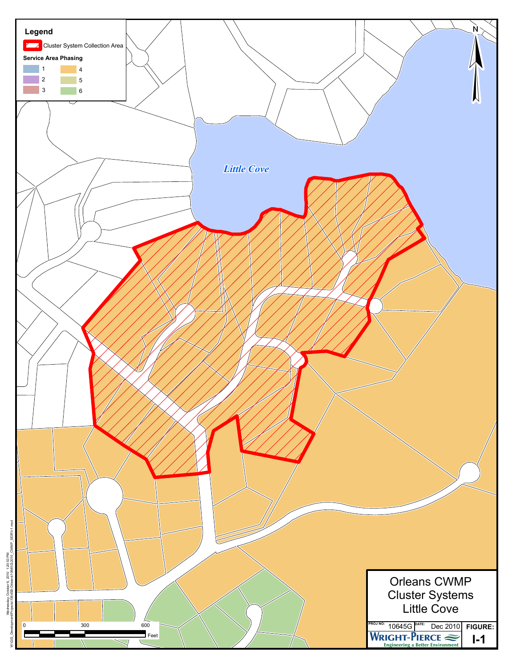

Wednesday, Ocbber 6, 2010 1:20:53 PM<br>ntProjects10645B-Orleans10645G2010\_CWMP\_SEIRN-1.mxd W:\GIS\_Development\Projects\10645B-Orleans\10645G\2010\_CWMP\_SEIR\I-1.mxd Wednesday, October 6, 2010 1:20:53 PM Develop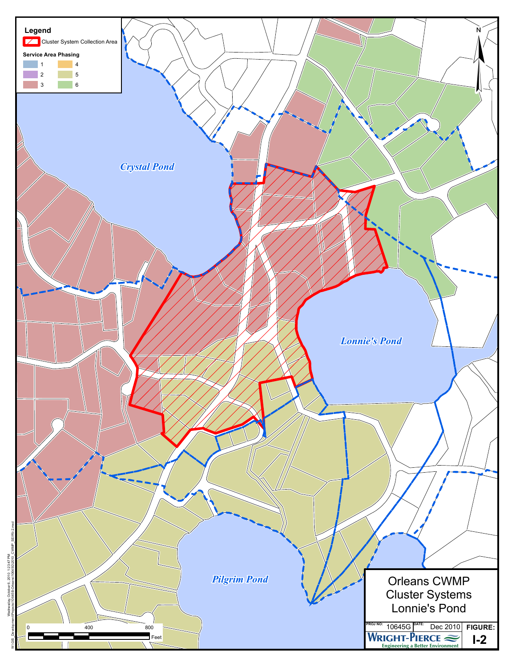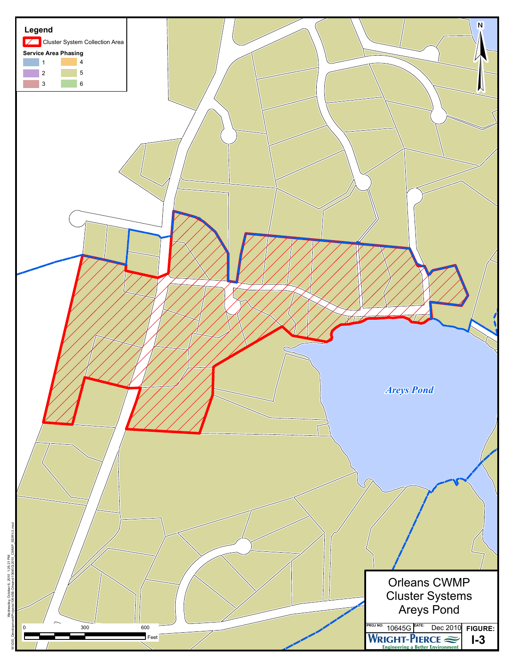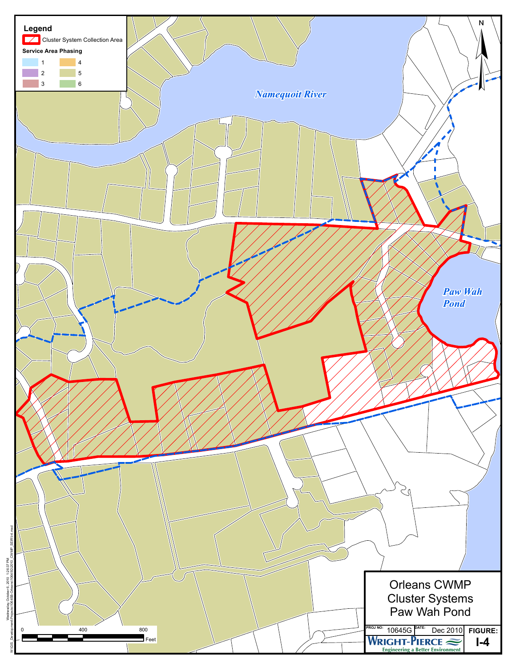